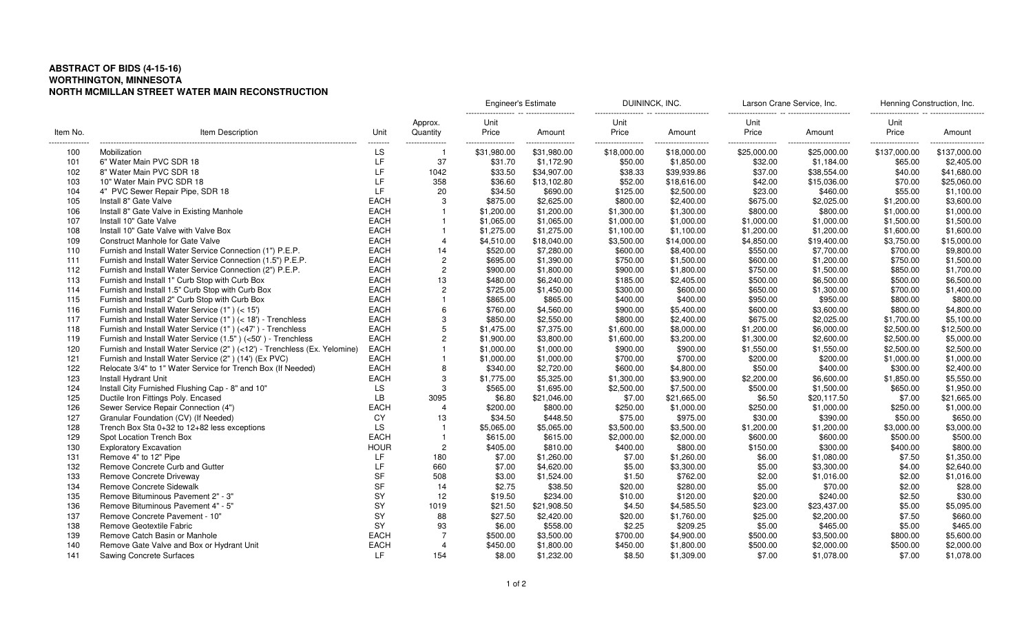## **ABSTRACT OF BIDS (4-15-16) WORTHINGTON, MINNESOTANORTH MCMILLAN STREET WATER MAIN RECONSTRUCTION**

|                        | Item Description                                                          | Unit           | Approx.<br>Quantity   | <b>Engineer's Estimate</b> |                  | DUININCK, INC.                    |                 | Larson Crane Service, Inc.        |                                 | Henning Construction, Inc. |                   |
|------------------------|---------------------------------------------------------------------------|----------------|-----------------------|----------------------------|------------------|-----------------------------------|-----------------|-----------------------------------|---------------------------------|----------------------------|-------------------|
| Item No.               |                                                                           |                |                       | Unit<br>Price              | Amount           | Unit<br>Price                     | Amount          | Unit<br>Price                     | Amount                          | Unit<br>Price              | Amount            |
| ---------------<br>100 | Mobilization                                                              | --------<br>LS | --------------        | .<br>\$31,980.00           | .<br>\$31.980.00 | ------------------<br>\$18,000.00 | <br>\$18,000.00 | ------------------<br>\$25,000.00 | ----------------<br>\$25,000.00 | <br>\$137,000.00           | .<br>\$137,000.00 |
| 101                    | 6" Water Main PVC SDR 18                                                  | LF             | 37                    | \$31.70                    | \$1,172.90       | \$50.00                           | \$1,850.00      | \$32.00                           | \$1,184.00                      | \$65.00                    | \$2,405.00        |
| 102                    | 8" Water Main PVC SDR 18                                                  | LF             | 1042                  | \$33.50                    | \$34,907.00      | \$38.33                           | \$39,939.86     | \$37.00                           | \$38,554.00                     | \$40.00                    | \$41,680.00       |
| 103                    | 10" Water Main PVC SDR 18                                                 | LF             | 358                   | \$36.60                    | \$13,102.80      | \$52.00                           | \$18,616.00     | \$42.00                           | \$15,036.00                     | \$70.00                    | \$25,060.00       |
| 104                    | 4" PVC Sewer Repair Pipe, SDR 18                                          | LF             | 20                    | \$34.50                    | \$690.00         | \$125.00                          | \$2,500.00      | \$23.00                           | \$460.00                        | \$55.00                    | \$1,100.00        |
| 105                    | Install 8" Gate Valve                                                     | <b>EACH</b>    | 3                     | \$875.00                   | \$2,625.00       | \$800.00                          | \$2,400.00      | \$675.00                          | \$2,025.00                      | \$1,200.00                 | \$3,600.00        |
| 106                    | Install 8" Gate Valve in Existing Manhole                                 | <b>EACH</b>    |                       | \$1,200.00                 | \$1,200.00       | \$1,300.00                        | \$1,300.00      | \$800.00                          | \$800.00                        | \$1,000.00                 | \$1,000.00        |
| 107                    | Install 10" Gate Valve                                                    | <b>EACH</b>    | $\mathbf{1}$          | \$1,065.00                 | \$1,065.00       | \$1,000.00                        | \$1,000.00      | \$1,000.00                        | \$1,000.00                      | \$1,500.00                 | \$1,500.00        |
| 108                    | Install 10" Gate Valve with Valve Box                                     | <b>EACH</b>    |                       | \$1,275.00                 | \$1,275.00       | \$1,100.00                        | \$1,100.00      | \$1,200.00                        | \$1,200.00                      | \$1,600.00                 | \$1,600.00        |
| 109                    | <b>Construct Manhole for Gate Valve</b>                                   | <b>EACH</b>    | $\overline{4}$        | \$4,510.00                 | \$18,040.00      | \$3,500.00                        | \$14,000.00     | \$4,850.00                        | \$19,400.00                     | \$3,750.00                 | \$15,000.00       |
| 110                    | Furnish and Install Water Service Connection (1") P.E.P.                  | <b>EACH</b>    | 14                    | \$520.00                   | \$7,280.00       | \$600.00                          | \$8,400.00      | \$550.00                          | \$7,700.00                      | \$700.00                   | \$9,800.00        |
| 111                    | Furnish and Install Water Service Connection (1.5") P.E.P.                | <b>EACH</b>    | $\overline{c}$        | \$695.00                   | \$1,390.00       | \$750.00                          | \$1,500.00      | \$600.00                          | \$1,200.00                      | \$750.00                   | \$1,500.00        |
| 112                    | Furnish and Install Water Service Connection (2") P.E.P.                  | <b>EACH</b>    | $\overline{2}$        | \$900.00                   | \$1,800.00       | \$900.00                          | \$1,800.00      | \$750.00                          | \$1,500.00                      | \$850.00                   | \$1,700.00        |
| 113                    | Furnish and Install 1" Curb Stop with Curb Box                            | <b>EACH</b>    | 13                    | \$480.00                   | \$6,240.00       | \$185.00                          | \$2,405.00      | \$500.00                          | \$6,500.00                      | \$500.00                   | \$6,500.00        |
| 114                    | Furnish and Install 1.5" Curb Stop with Curb Box                          | <b>EACH</b>    | $\overline{2}$        | \$725.00                   | \$1,450.00       | \$300.00                          | \$600.00        | \$650.00                          | \$1,300.00                      | \$700.00                   | \$1,400.00        |
| 115                    | Furnish and Install 2" Curb Stop with Curb Box                            | <b>EACH</b>    |                       | \$865.00                   | \$865.00         | \$400.00                          | \$400.00        | \$950.00                          | \$950.00                        | \$800.00                   | \$800.00          |
| 116                    | Furnish and Install Water Service (1") (< 15')                            | <b>EACH</b>    | 6                     | \$760.00                   | \$4,560.00       | \$900.00                          | \$5,400.00      | \$600.00                          | \$3,600.00                      | \$800.00                   | \$4,800.00        |
| 117                    | Furnish and Install Water Service (1") (< 18') - Trenchless               | <b>EACH</b>    | 3                     | \$850.00                   | \$2,550.00       | \$800.00                          | \$2,400.00      | \$675.00                          | \$2,025.00                      | \$1,700.00                 | \$5,100.00        |
| 118                    | Furnish and Install Water Service (1") (<47') - Trenchless                | <b>EACH</b>    | 5                     | \$1,475.00                 | \$7,375.00       | \$1,600.00                        | \$8,000.00      | \$1,200.00                        | \$6,000.00                      | \$2,500.00                 | \$12,500.00       |
| 119                    | Furnish and Install Water Service (1.5") (<50') - Trenchless              | <b>EACH</b>    | $\overline{c}$        | \$1,900.00                 | \$3,800.00       | \$1,600.00                        | \$3,200.00      | \$1,300.00                        | \$2,600.00                      | \$2,500.00                 | \$5,000.00        |
| 120                    | Furnish and Install Water Service (2") (<12') - Trenchless (Ex. Yelomine) | <b>EACH</b>    |                       | \$1,000.00                 | \$1,000.00       | \$900.00                          | \$900.00        | \$1,550.00                        | \$1,550.00                      | \$2,500.00                 | \$2,500.00        |
| 121                    | Furnish and Install Water Service (2") (14') (Ex PVC)                     | <b>EACH</b>    | $\overline{1}$        | \$1,000.00                 | \$1,000.00       | \$700.00                          | \$700.00        | \$200.00                          | \$200.00                        | \$1,000.00                 | \$1,000.00        |
| 122                    | Relocate 3/4" to 1" Water Service for Trench Box (If Needed)              | <b>EACH</b>    | 8                     | \$340.00                   | \$2,720.00       | \$600.00                          | \$4,800.00      | \$50.00                           | \$400.00                        | \$300.00                   | \$2,400.00        |
| 123                    | Install Hydrant Unit                                                      | <b>EACH</b>    | 3                     | \$1,775.00                 | \$5,325.00       | \$1,300.00                        | \$3,900.00      | \$2,200.00                        | \$6,600.00                      | \$1,850.00                 | \$5,550.00        |
| 124                    | Install City Furnished Flushing Cap - 8" and 10"                          | LS             | 3                     | \$565.00                   | \$1,695.00       | \$2,500.00                        | \$7,500.00      | \$500.00                          | \$1,500.00                      | \$650.00                   | \$1,950.00        |
| 125                    | Ductile Iron Fittings Poly. Encased                                       | <b>LB</b>      | 3095                  | \$6.80                     | \$21,046.00      | \$7.00                            | \$21,665.00     | \$6.50                            | \$20,117.50                     | \$7.00                     | \$21,665.00       |
| 126                    | Sewer Service Repair Connection (4")                                      | <b>EACH</b>    | $\overline{4}$        | \$200.00                   | \$800.00         | \$250.00                          | \$1,000.00      | \$250.00                          | \$1,000.00                      | \$250.00                   | \$1,000.00        |
| 127                    | Granular Foundation (CV) (If Needed)                                      | CY             | 13                    | \$34.50                    | \$448.50         | \$75.00                           | \$975.00        | \$30.00                           | \$390.00                        | \$50.00                    | \$650.00          |
| 128                    | Trench Box Sta 0+32 to 12+82 less exceptions                              | LS             | $\overline{1}$        | \$5,065.00                 | \$5,065.00       | \$3,500.00                        | \$3,500.00      | \$1,200.00                        | \$1,200.00                      | \$3,000.00                 | \$3,000.00        |
| 129                    | Spot Location Trench Box                                                  | <b>EACH</b>    | -1                    | \$615.00                   | \$615.00         | \$2,000.00                        | \$2,000.00      | \$600.00                          | \$600.00                        | \$500.00                   | \$500.00          |
| 130                    | <b>Exploratory Excavation</b>                                             | <b>HOUR</b>    | $\overline{2}$        | \$405.00                   | \$810.00         | \$400.00                          | \$800.00        | \$150.00                          | \$300.00                        | \$400.00                   | \$800.00          |
| 131                    | Remove 4" to 12" Pipe                                                     | LF             | 180                   | \$7.00                     | \$1,260.00       | \$7.00                            | \$1,260.00      | \$6.00                            | \$1,080.00                      | \$7.50                     | \$1,350.00        |
| 132                    | Remove Concrete Curb and Gutter                                           | LF             | 660                   | \$7.00                     | \$4,620.00       | \$5.00                            | \$3,300.00      | \$5.00                            | \$3,300.00                      | \$4.00                     | \$2,640.00        |
| 133                    | Remove Concrete Driveway                                                  | <b>SF</b>      | 508                   | \$3.00                     | \$1,524.00       | \$1.50                            | \$762.00        | \$2.00                            | \$1,016.00                      | \$2.00                     | \$1,016.00        |
| 134                    | <b>Remove Concrete Sidewalk</b>                                           | <b>SF</b>      | 14                    | \$2.75                     | \$38.50          | \$20.00                           | \$280.00        | \$5.00                            | \$70.00                         | \$2.00                     | \$28.00           |
| 135                    | Remove Bituminous Pavement 2" - 3"                                        | SY             | 12                    | \$19.50                    | \$234.00         | \$10.00                           | \$120.00        | \$20.00                           | \$240.00                        | \$2.50                     | \$30.00           |
| 136                    | Remove Bituminous Pavement 4" - 5"                                        | SY             | 1019                  | \$21.50                    | \$21,908.50      | \$4.50                            | \$4,585.50      | \$23.00                           | \$23,437.00                     | \$5.00                     | \$5,095.00        |
| 137                    | Remove Concrete Pavement - 10"                                            | SY             | 88                    | \$27.50                    | \$2,420.00       | \$20.00                           | \$1,760.00      | \$25.00                           | \$2,200.00                      | \$7.50                     | \$660.00          |
| 138                    | Remove Geotextile Fabric                                                  | SY             | 93                    | \$6.00                     | \$558.00         | \$2.25                            | \$209.25        | \$5.00                            | \$465.00                        | \$5.00                     | \$465.00          |
| 139                    | Remove Catch Basin or Manhole                                             | <b>EACH</b>    | $\overline{7}$        | \$500.00                   | \$3,500.00       | \$700.00                          | \$4,900.00      | \$500.00                          | \$3,500.00                      | \$800.00                   | \$5,600.00        |
| 140                    | Remove Gate Valve and Box or Hydrant Unit                                 | <b>EACH</b>    | $\boldsymbol{\Delta}$ | \$450.00                   | \$1,800.00       | \$450.00                          | \$1,800.00      | \$500.00                          | \$2,000.00                      | \$500.00                   | \$2,000.00        |
| 141                    | <b>Sawing Concrete Surfaces</b>                                           | LF.            | 154                   | \$8.00                     | \$1,232.00       | \$8.50                            | \$1,309.00      | \$7.00                            | \$1,078.00                      | \$7.00                     | \$1,078.00        |